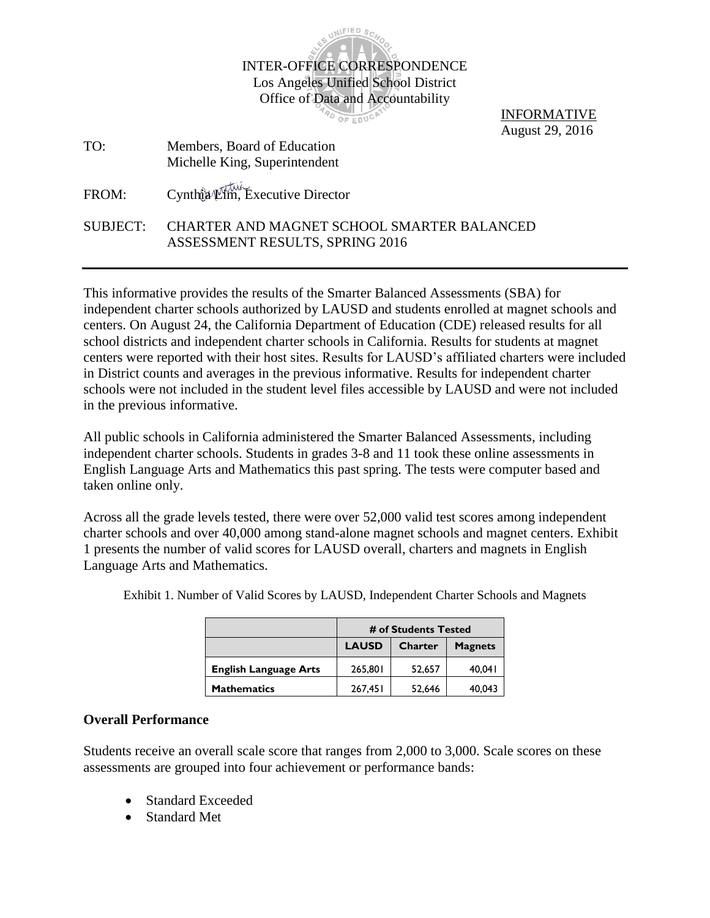

PO OF EDUCA

INFORMATIVE August 29, 2016

TO: Members, Board of Education Michelle King, Superintendent

FROM: Cynthia Lim, Executive Director

### SUBJECT: CHARTER AND MAGNET SCHOOL SMARTER BALANCED ASSESSMENT RESULTS, SPRING 2016

This informative provides the results of the Smarter Balanced Assessments (SBA) for independent charter schools authorized by LAUSD and students enrolled at magnet schools and centers. On August 24, the California Department of Education (CDE) released results for all school districts and independent charter schools in California. Results for students at magnet centers were reported with their host sites. Results for LAUSD's affiliated charters were included in District counts and averages in the previous informative. Results for independent charter schools were not included in the student level files accessible by LAUSD and were not included in the previous informative.

All public schools in California administered the Smarter Balanced Assessments, including independent charter schools. Students in grades 3-8 and 11 took these online assessments in English Language Arts and Mathematics this past spring. The tests were computer based and taken online only.

Across all the grade levels tested, there were over 52,000 valid test scores among independent charter schools and over 40,000 among stand-alone magnet schools and magnet centers. Exhibit 1 presents the number of valid scores for LAUSD overall, charters and magnets in English Language Arts and Mathematics.

|                              | # of Students Tested                      |        |        |  |  |
|------------------------------|-------------------------------------------|--------|--------|--|--|
|                              | <b>LAUSD</b><br>Charter<br><b>Magnets</b> |        |        |  |  |
| <b>English Language Arts</b> | 265,801                                   | 52,657 | 40.041 |  |  |
| <b>Mathematics</b>           | 267,451<br>52,646                         |        |        |  |  |

Exhibit 1. Number of Valid Scores by LAUSD, Independent Charter Schools and Magnets

# **Overall Performance**

Students receive an overall scale score that ranges from 2,000 to 3,000. Scale scores on these assessments are grouped into four achievement or performance bands:

- Standard Exceeded
- Standard Met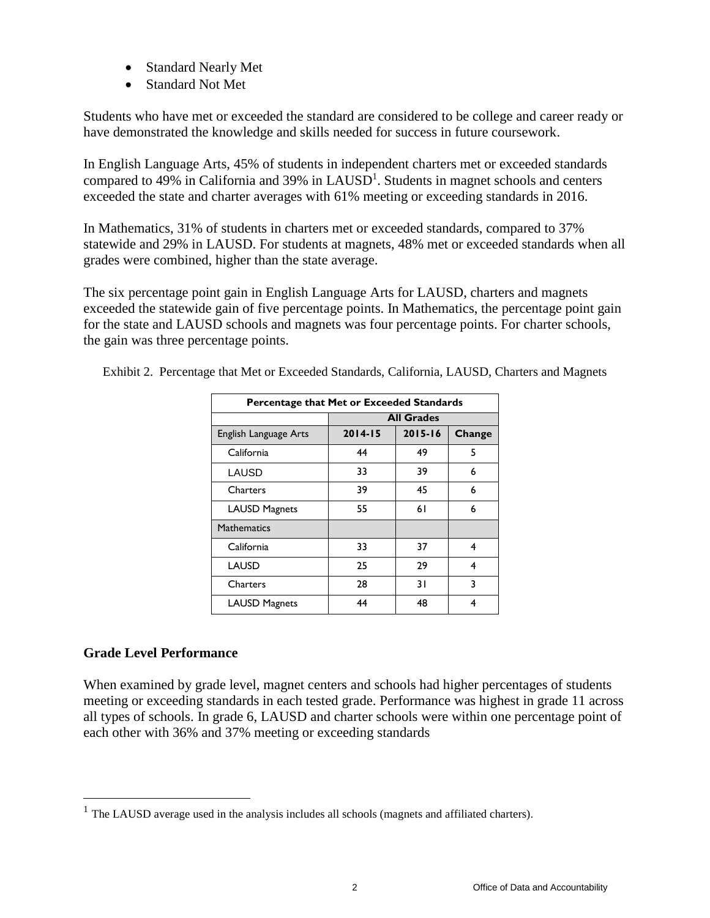- Standard Nearly Met
- Standard Not Met

Students who have met or exceeded the standard are considered to be college and career ready or have demonstrated the knowledge and skills needed for success in future coursework.

In English Language Arts, 45% of students in independent charters met or exceeded standards compared to  $49\%$  in California and  $39\%$  in LAUSD<sup>1</sup>. Students in magnet schools and centers exceeded the state and charter averages with 61% meeting or exceeding standards in 2016.

In Mathematics, 31% of students in charters met or exceeded standards, compared to 37% statewide and 29% in LAUSD. For students at magnets, 48% met or exceeded standards when all grades were combined, higher than the state average.

The six percentage point gain in English Language Arts for LAUSD, charters and magnets exceeded the statewide gain of five percentage points. In Mathematics, the percentage point gain for the state and LAUSD schools and magnets was four percentage points. For charter schools, the gain was three percentage points.

| Percentage that Met or Exceeded Standards |             |                   |        |  |  |  |  |  |
|-------------------------------------------|-------------|-------------------|--------|--|--|--|--|--|
|                                           |             | <b>All Grades</b> |        |  |  |  |  |  |
| English Language Arts                     | $2014 - 15$ | $2015 - 16$       | Change |  |  |  |  |  |
| California                                | 44          | 49                | 5      |  |  |  |  |  |
| LAUSD                                     | 33          | 39                | 6      |  |  |  |  |  |
| <b>Charters</b>                           | 39          | 45                | 6      |  |  |  |  |  |
| <b>LAUSD Magnets</b>                      | 55          | 61                | 6      |  |  |  |  |  |
| <b>Mathematics</b>                        |             |                   |        |  |  |  |  |  |
| California                                | 33          | 37                | 4      |  |  |  |  |  |
| <b>LAUSD</b>                              | 25          | 29                | 4      |  |  |  |  |  |
| Charters                                  | 28          | 31                | 3      |  |  |  |  |  |
| <b>LAUSD Magnets</b>                      | 44          | 48                | 4      |  |  |  |  |  |

Exhibit 2. Percentage that Met or Exceeded Standards, California, LAUSD, Charters and Magnets

### **Grade Level Performance**

 $\overline{a}$ 

When examined by grade level, magnet centers and schools had higher percentages of students meeting or exceeding standards in each tested grade. Performance was highest in grade 11 across all types of schools. In grade 6, LAUSD and charter schools were within one percentage point of each other with 36% and 37% meeting or exceeding standards

 $<sup>1</sup>$  The LAUSD average used in the analysis includes all schools (magnets and affiliated charters).</sup>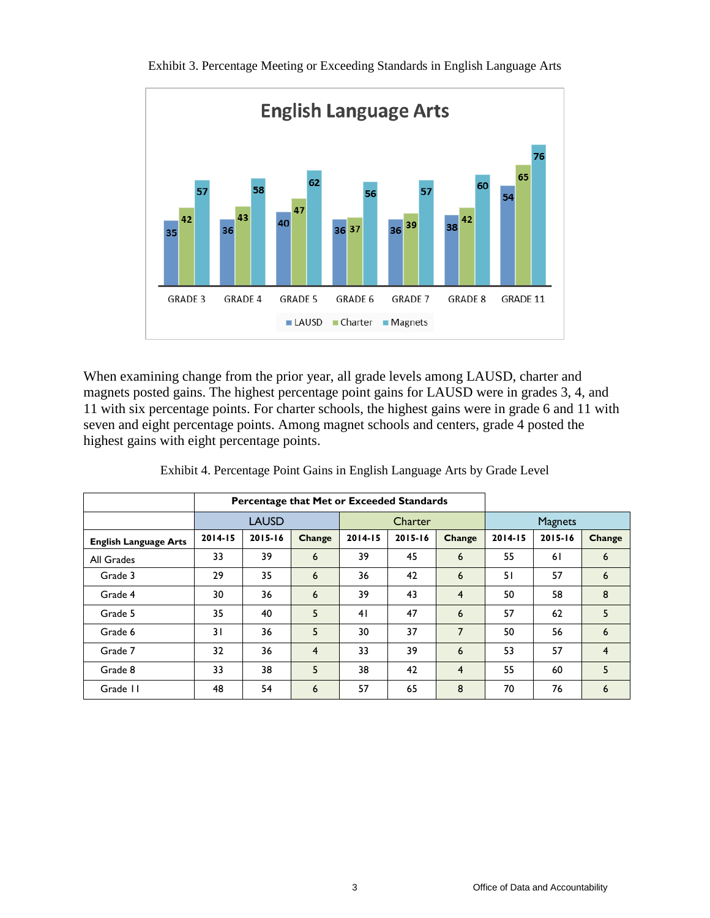

Exhibit 3. Percentage Meeting or Exceeding Standards in English Language Arts

When examining change from the prior year, all grade levels among LAUSD, charter and magnets posted gains. The highest percentage point gains for LAUSD were in grades 3, 4, and 11 with six percentage points. For charter schools, the highest gains were in grade 6 and 11 with seven and eight percentage points. Among magnet schools and centers, grade 4 posted the highest gains with eight percentage points.

|                              | Percentage that Met or Exceeded Standards |              |                |             |         |                |             |                |                |  |
|------------------------------|-------------------------------------------|--------------|----------------|-------------|---------|----------------|-------------|----------------|----------------|--|
|                              |                                           | <b>LAUSD</b> |                |             | Charter |                |             | <b>Magnets</b> |                |  |
| <b>English Language Arts</b> | $2014 - 15$                               | 2015-16      | Change         | $2014 - 15$ | 2015-16 | <b>Change</b>  | $2014 - 15$ | $2015 - 16$    | Change         |  |
| All Grades                   | 33                                        | 39           | 6              | 39          | 45      | 6              | 55          | 61             | 6              |  |
| Grade 3                      | 29                                        | 35           | 6              | 36          | 42      | 6              | 51          | 57             | 6              |  |
| Grade 4                      | 30                                        | 36           | 6              | 39          | 43      | $\overline{4}$ | 50          | 58             | 8              |  |
| Grade 5                      | 35                                        | 40           | 5              | 41          | 47      | 6              | 57          | 62             | 5              |  |
| Grade 6                      | 31                                        | 36           | 5              | 30          | 37      | $\overline{7}$ | 50          | 56             | 6              |  |
| Grade 7                      | 32                                        | 36           | $\overline{4}$ | 33          | 39      | 6              | 53          | 57             | $\overline{4}$ |  |
| Grade 8                      | 33                                        | 38           | 5              | 38          | 42      | $\overline{4}$ | 55          | 60             | 5              |  |
| Grade 11                     | 48                                        | 54           | 6              | 57          | 65      | 8              | 70          | 76             | 6              |  |

Exhibit 4. Percentage Point Gains in English Language Arts by Grade Level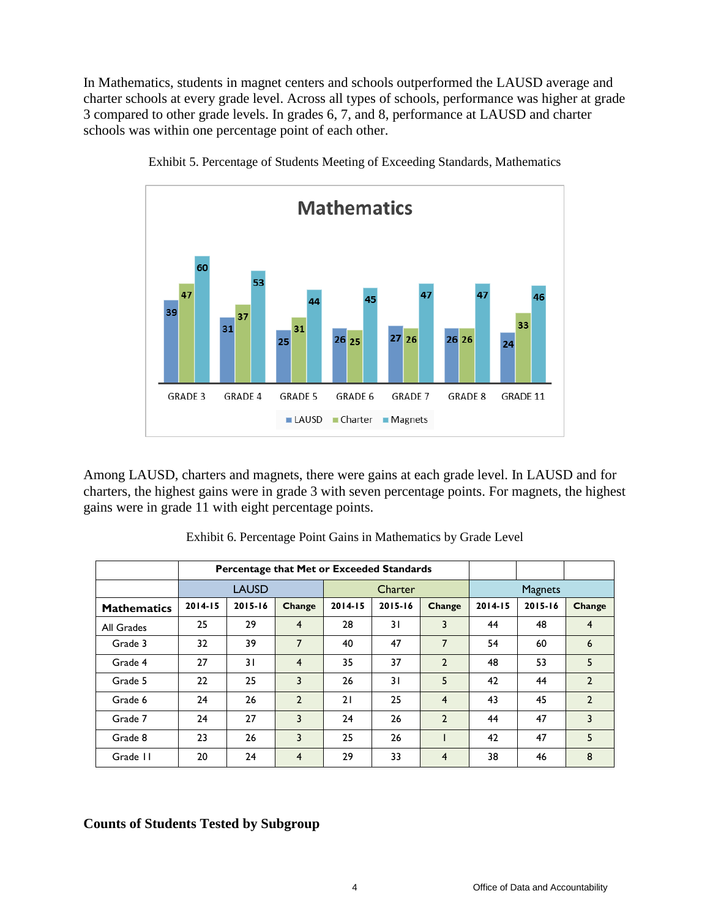In Mathematics, students in magnet centers and schools outperformed the LAUSD average and charter schools at every grade level. Across all types of schools, performance was higher at grade 3 compared to other grade levels. In grades 6, 7, and 8, performance at LAUSD and charter schools was within one percentage point of each other.



Exhibit 5. Percentage of Students Meeting of Exceeding Standards, Mathematics

Among LAUSD, charters and magnets, there were gains at each grade level. In LAUSD and for charters, the highest gains were in grade 3 with seven percentage points. For magnets, the highest gains were in grade 11 with eight percentage points.

|                    |             |              | Percentage that Met or Exceeded Standards |             |                |                |         |                |                |
|--------------------|-------------|--------------|-------------------------------------------|-------------|----------------|----------------|---------|----------------|----------------|
|                    |             | <b>LAUSD</b> |                                           |             | <b>Charter</b> |                |         | <b>Magnets</b> |                |
| <b>Mathematics</b> | $2014 - 15$ | 2015-16      | <b>Change</b>                             | $2014 - 15$ | 2015-16        | <b>Change</b>  | 2014-15 | 2015-16        | Change         |
| All Grades         | 25          | 29           | 4                                         | 28          | $\overline{3}$ | 3              | 44      | 48             | 4              |
| Grade 3            | 32          | 39           | 7                                         | 40          | 47             | 7              | 54      | 60             | 6              |
| Grade 4            | 27          | 31           | 4                                         | 35          | 37             | $\overline{2}$ | 48      | 53             | 5              |
| Grade 5            | 22          | 25           | 3                                         | 26          | 31             | 5              | 42      | 44             | $\overline{2}$ |
| Grade 6            | 24          | 26           | $\overline{2}$                            | 21          | 25             | $\overline{4}$ | 43      | 45             | $\overline{2}$ |
| Grade 7            | 24          | 27           | 3                                         | 24          | 26             | $\overline{2}$ | 44      | 47             | 3              |
| Grade 8            | 23          | 26           | 3                                         | 25          | 26             |                | 42      | 47             | 5              |
| Grade II           | 20          | 24           | 4                                         | 29          | 33             | 4              | 38      | 46             | 8              |

Exhibit 6. Percentage Point Gains in Mathematics by Grade Level

### **Counts of Students Tested by Subgroup**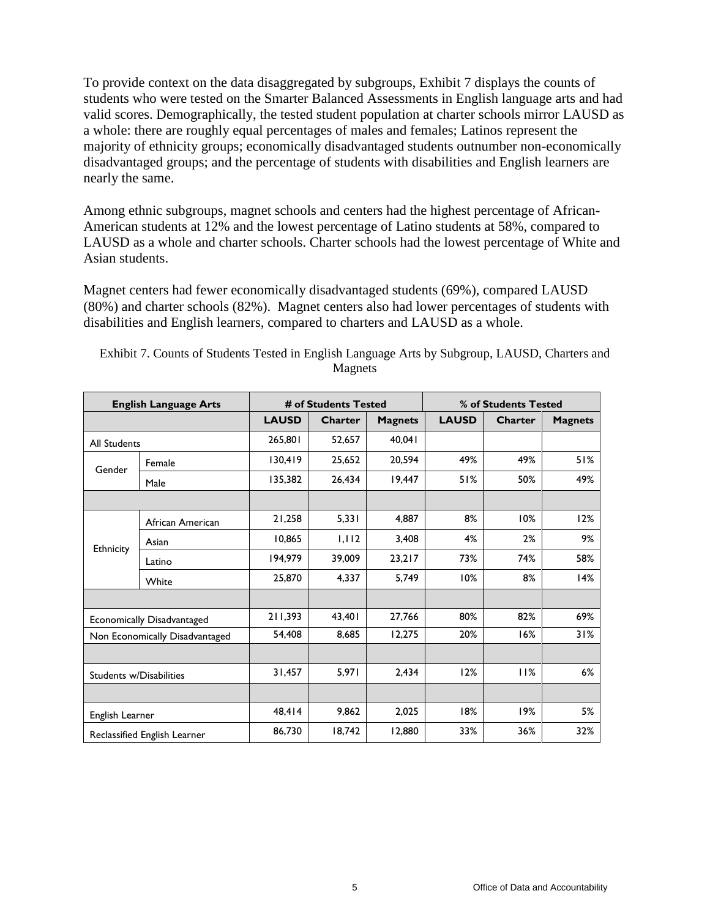To provide context on the data disaggregated by subgroups, Exhibit 7 displays the counts of students who were tested on the Smarter Balanced Assessments in English language arts and had valid scores. Demographically, the tested student population at charter schools mirror LAUSD as a whole: there are roughly equal percentages of males and females; Latinos represent the majority of ethnicity groups; economically disadvantaged students outnumber non-economically disadvantaged groups; and the percentage of students with disabilities and English learners are nearly the same.

Among ethnic subgroups, magnet schools and centers had the highest percentage of African-American students at 12% and the lowest percentage of Latino students at 58%, compared to LAUSD as a whole and charter schools. Charter schools had the lowest percentage of White and Asian students.

Magnet centers had fewer economically disadvantaged students (69%), compared LAUSD (80%) and charter schools (82%). Magnet centers also had lower percentages of students with disabilities and English learners, compared to charters and LAUSD as a whole.

|                         | <b>English Language Arts</b>   |              | # of Students Tested |                | % of Students Tested |                |                |
|-------------------------|--------------------------------|--------------|----------------------|----------------|----------------------|----------------|----------------|
|                         |                                | <b>LAUSD</b> | <b>Charter</b>       | <b>Magnets</b> | <b>LAUSD</b>         | <b>Charter</b> | <b>Magnets</b> |
| <b>All Students</b>     |                                | 265,801      | 52,657               | 40,041         |                      |                |                |
| Gender                  | Female                         | 130,419      | 25,652               | 20,594         | 49%                  | 49%            | 51%            |
|                         | Male                           | 135,382      | 26,434               | 19,447         | 51%                  | 50%            | 49%            |
|                         |                                |              |                      |                |                      |                |                |
|                         | African American               | 21,258       | 5,331                | 4,887          | 8%                   | 10%            | 12%            |
|                         | Asian                          | 10,865       | 1,112                | 3,408          | 4%                   | 2%             | 9%             |
| Ethnicity               | Latino                         | 194,979      | 39,009               | 23,217         | 73%                  | 74%            | 58%            |
|                         | White                          | 25,870       | 4,337                | 5,749          | 10%                  | 8%             | 14%            |
|                         |                                |              |                      |                |                      |                |                |
|                         | Economically Disadvantaged     | 211,393      | 43,401               | 27,766         | 80%                  | 82%            | 69%            |
|                         | Non Economically Disadvantaged | 54,408       | 8,685                | 12.275         | 20%                  | 16%            | 31%            |
|                         |                                |              |                      |                |                      |                |                |
| Students w/Disabilities |                                | 31,457       | 5,971                | 2,434          | 12%                  | 11%            | 6%             |
|                         |                                |              |                      |                |                      |                |                |
| English Learner         |                                | 48,414       | 9,862                | 2,025          | 18%                  | 19%            | 5%             |
|                         | Reclassified English Learner   | 86,730       | 18,742               | 12,880         | 33%                  | 36%            | 32%            |

Exhibit 7. Counts of Students Tested in English Language Arts by Subgroup, LAUSD, Charters and Magnets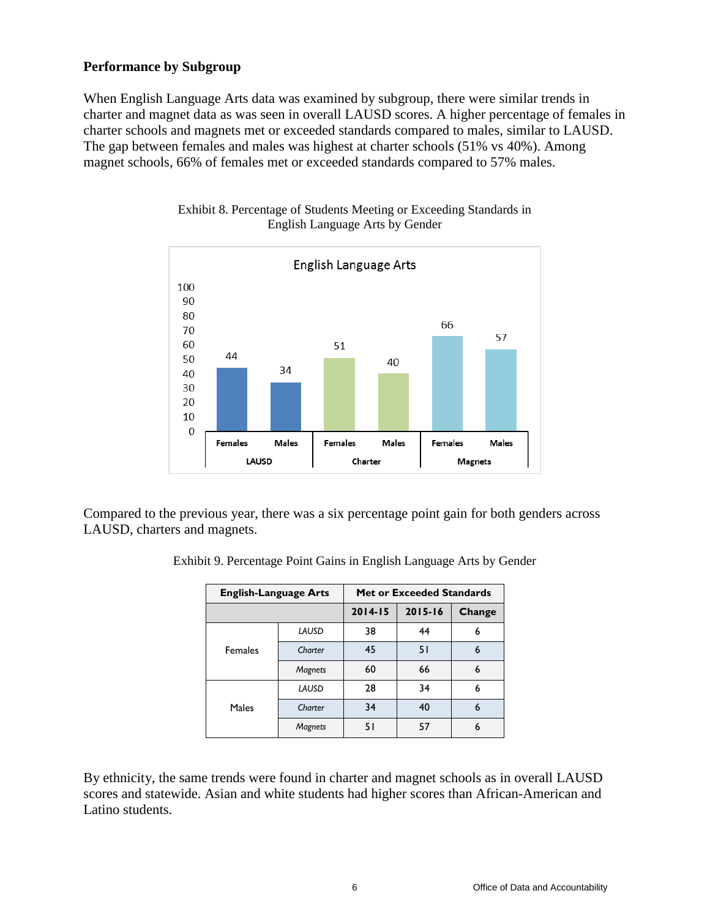## **Performance by Subgroup**

When English Language Arts data was examined by subgroup, there were similar trends in charter and magnet data as was seen in overall LAUSD scores. A higher percentage of females in charter schools and magnets met or exceeded standards compared to males, similar to LAUSD. The gap between females and males was highest at charter schools (51% vs 40%). Among magnet schools, 66% of females met or exceeded standards compared to 57% males.



Exhibit 8. Percentage of Students Meeting or Exceeding Standards in English Language Arts by Gender

Compared to the previous year, there was a six percentage point gain for both genders across LAUSD, charters and magnets.

| Exhibit 9. Percentage Point Gains in English Language Arts by Gender |  |  |  |
|----------------------------------------------------------------------|--|--|--|
|                                                                      |  |  |  |

| <b>English-Language Arts</b> |                |             | <b>Met or Exceeded Standards</b> |        |
|------------------------------|----------------|-------------|----------------------------------|--------|
|                              |                | $2014 - 15$ | $2015 - 16$                      | Change |
|                              | LAUSD          | 38          | 44                               | 6      |
| <b>Females</b>               | Charter        | 45          | 51                               | 6      |
|                              | Magnets        | 60          | 66                               | 6      |
|                              | LAUSD          | 28          | 34                               | 6      |
| Males                        | Charter        | 34          | 40                               | 6      |
|                              | <b>Magnets</b> | 51          | 57                               | 6      |

By ethnicity, the same trends were found in charter and magnet schools as in overall LAUSD scores and statewide. Asian and white students had higher scores than African-American and Latino students.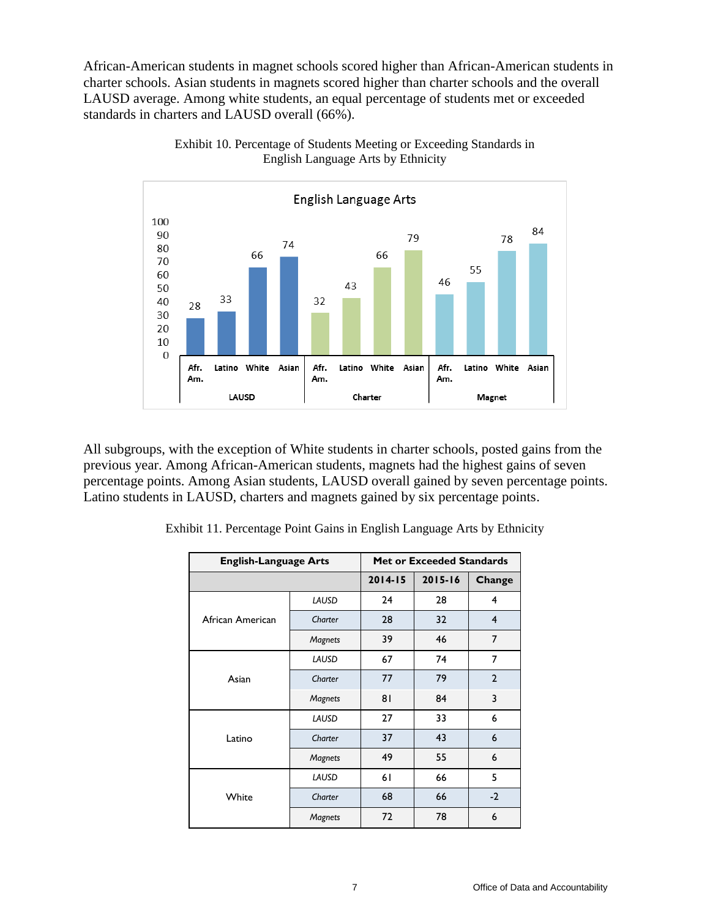African-American students in magnet schools scored higher than African-American students in charter schools. Asian students in magnets scored higher than charter schools and the overall LAUSD average. Among white students, an equal percentage of students met or exceeded standards in charters and LAUSD overall (66%).



Exhibit 10. Percentage of Students Meeting or Exceeding Standards in English Language Arts by Ethnicity

All subgroups, with the exception of White students in charter schools, posted gains from the previous year. Among African-American students, magnets had the highest gains of seven percentage points. Among Asian students, LAUSD overall gained by seven percentage points. Latino students in LAUSD, charters and magnets gained by six percentage points.

| <b>English-Language Arts</b> |         | <b>Met or Exceeded Standards</b> |             |                |  |
|------------------------------|---------|----------------------------------|-------------|----------------|--|
|                              |         | $2014 - 15$                      | $2015 - 16$ | Change         |  |
|                              | LAUSD   | 24                               | 28          | 4              |  |
| African American             | Charter | 28                               | 32          | 4              |  |
|                              | Magnets | 39                               | 46          | 7              |  |
|                              | LAUSD   | 67                               | 74          | 7              |  |
| Asian                        | Charter | 77                               | 79          | $\overline{2}$ |  |
|                              | Magnets | 81                               | 84          | 3              |  |
|                              | LAUSD   | 27                               | 33          | 6              |  |
| Latino                       | Charter | 37                               | 43          | 6              |  |
|                              | Magnets | 49                               | 55          | 6              |  |
|                              | LAUSD   | 61                               | 66          | 5              |  |
| White                        | Charter | 68                               | 66          | $-2$           |  |
|                              | Magnets | 72                               | 78          | 6              |  |

Exhibit 11. Percentage Point Gains in English Language Arts by Ethnicity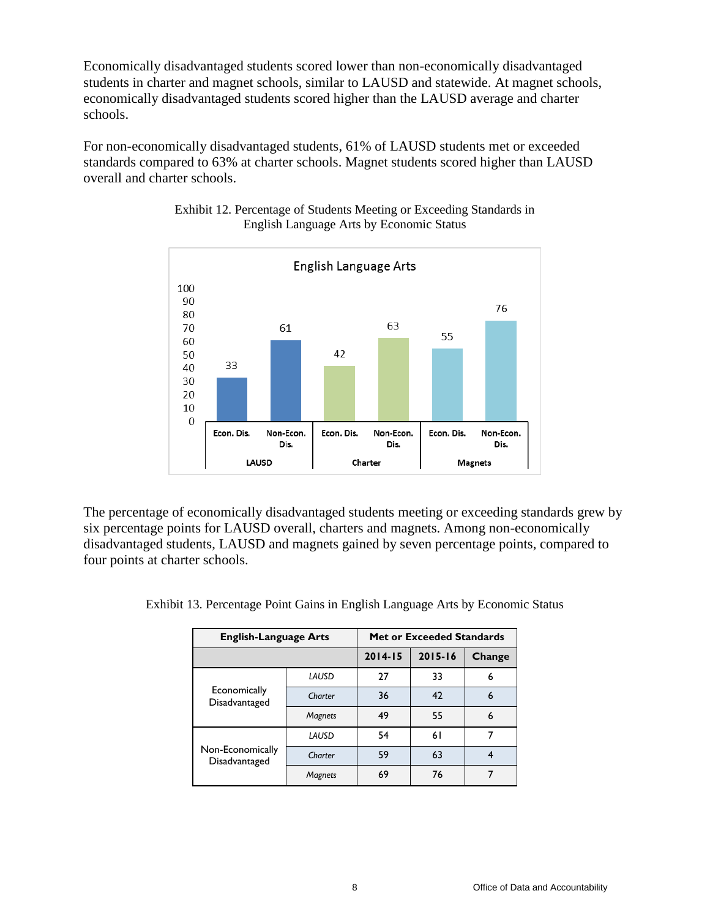Economically disadvantaged students scored lower than non-economically disadvantaged students in charter and magnet schools, similar to LAUSD and statewide. At magnet schools, economically disadvantaged students scored higher than the LAUSD average and charter schools.

For non-economically disadvantaged students, 61% of LAUSD students met or exceeded standards compared to 63% at charter schools. Magnet students scored higher than LAUSD overall and charter schools.



Exhibit 12. Percentage of Students Meeting or Exceeding Standards in English Language Arts by Economic Status

The percentage of economically disadvantaged students meeting or exceeding standards grew by six percentage points for LAUSD overall, charters and magnets. Among non-economically disadvantaged students, LAUSD and magnets gained by seven percentage points, compared to four points at charter schools.

| <b>English-Language Arts</b>      | <b>Met or Exceeded Standards</b> |             |             |        |
|-----------------------------------|----------------------------------|-------------|-------------|--------|
|                                   |                                  | $2014 - 15$ | $2015 - 16$ | Change |
|                                   | LAUSD                            | 27          | 33          | 6      |
| Economically<br>Disadvantaged     | Charter                          | 36          | 42          | 6      |
|                                   | <b>Magnets</b>                   | 49          | 55          | 6      |
|                                   | LAUSD                            | 54          | 61          |        |
| Non-Economically<br>Disadvantaged | Charter                          | 59          | 63          |        |
|                                   | <b>Magnets</b>                   | 69          | 76          |        |

Exhibit 13. Percentage Point Gains in English Language Arts by Economic Status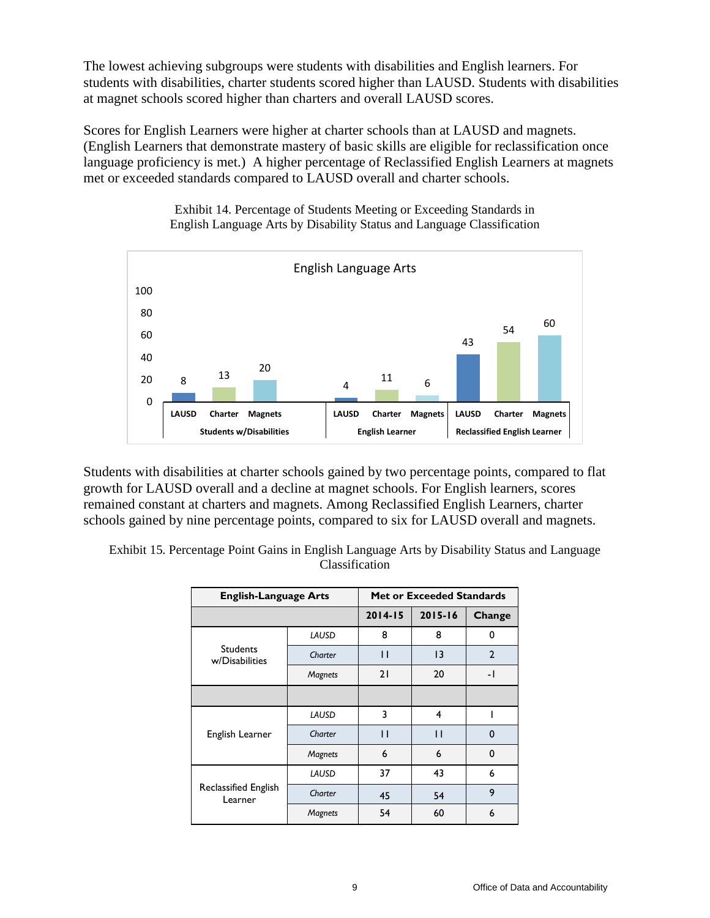The lowest achieving subgroups were students with disabilities and English learners. For students with disabilities, charter students scored higher than LAUSD. Students with disabilities at magnet schools scored higher than charters and overall LAUSD scores.

Scores for English Learners were higher at charter schools than at LAUSD and magnets. (English Learners that demonstrate mastery of basic skills are eligible for reclassification once language proficiency is met.) A higher percentage of Reclassified English Learners at magnets met or exceeded standards compared to LAUSD overall and charter schools.



Exhibit 14. Percentage of Students Meeting or Exceeding Standards in English Language Arts by Disability Status and Language Classification

Students with disabilities at charter schools gained by two percentage points, compared to flat growth for LAUSD overall and a decline at magnet schools. For English learners, scores remained constant at charters and magnets. Among Reclassified English Learners, charter schools gained by nine percentage points, compared to six for LAUSD overall and magnets.

| <b>English-Language Arts</b>      |                |             | <b>Met or Exceeded Standards</b> |                |
|-----------------------------------|----------------|-------------|----------------------------------|----------------|
|                                   |                | $2014 - 15$ | $2015 - 16$                      | Change         |
|                                   | LAUSD          | 8           | 8                                | 0              |
| <b>Students</b><br>w/Disabilities | Charter        | П           | $\overline{13}$                  | $\overline{2}$ |
|                                   | Magnets        | 21          | 20                               | - 1            |
|                                   |                |             |                                  |                |
|                                   | LAUSD          | 3           | 4                                |                |
| English Learner                   | Charter        | П           | П                                | 0              |
|                                   | <b>Magnets</b> | 6           | 6                                | $\Omega$       |
| Reclassified English<br>Learner   | LAUSD          | 37          | 43                               | 6              |
|                                   | Charter        | 45          | 54                               | 9              |
|                                   | <b>Magnets</b> | 54          | 60                               | 6              |

Exhibit 15. Percentage Point Gains in English Language Arts by Disability Status and Language Classification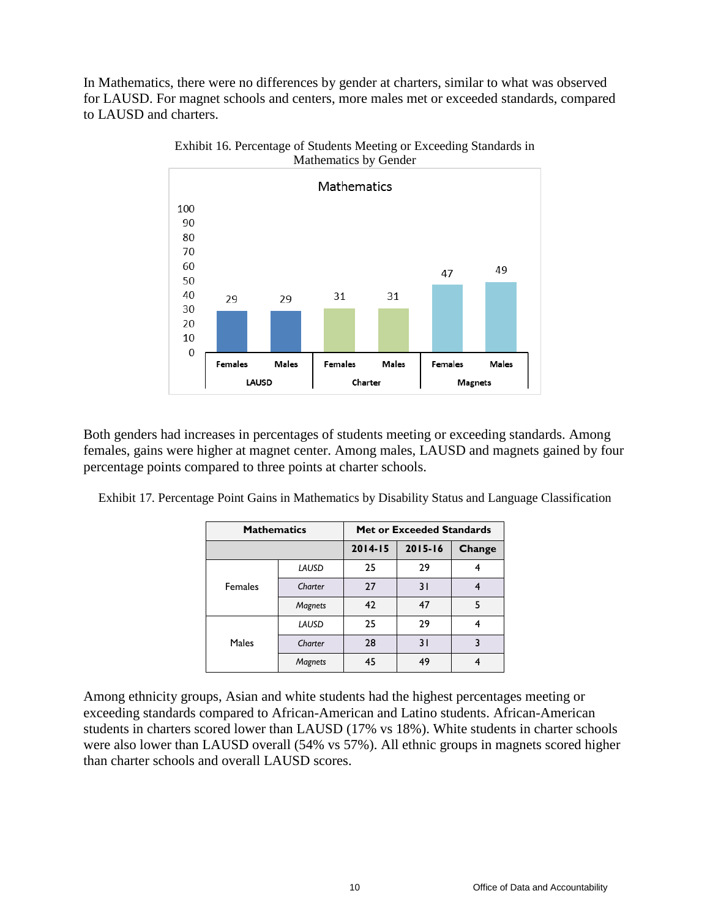In Mathematics, there were no differences by gender at charters, similar to what was observed for LAUSD. For magnet schools and centers, more males met or exceeded standards, compared to LAUSD and charters.



Exhibit 16. Percentage of Students Meeting or Exceeding Standards in Mathematics by Gender

Both genders had increases in percentages of students meeting or exceeding standards. Among females, gains were higher at magnet center. Among males, LAUSD and magnets gained by four percentage points compared to three points at charter schools.

Exhibit 17. Percentage Point Gains in Mathematics by Disability Status and Language Classification

| <b>Mathematics</b> |                |             | <b>Met or Exceeded Standards</b> |        |
|--------------------|----------------|-------------|----------------------------------|--------|
|                    |                | $2014 - 15$ | $2015 - 16$                      | Change |
|                    | LAUSD          | 25          | 29                               |        |
| <b>Females</b>     | Charter        | 27          | 31                               |        |
|                    | <b>Magnets</b> | 42          | 47                               | 5      |
|                    | LAUSD          | 25          | 29                               |        |
| Males              | Charter        | 28          | 31                               |        |
|                    | <b>Magnets</b> | 45          | 49                               |        |

Among ethnicity groups, Asian and white students had the highest percentages meeting or exceeding standards compared to African-American and Latino students. African-American students in charters scored lower than LAUSD (17% vs 18%). White students in charter schools were also lower than LAUSD overall (54% vs 57%). All ethnic groups in magnets scored higher than charter schools and overall LAUSD scores.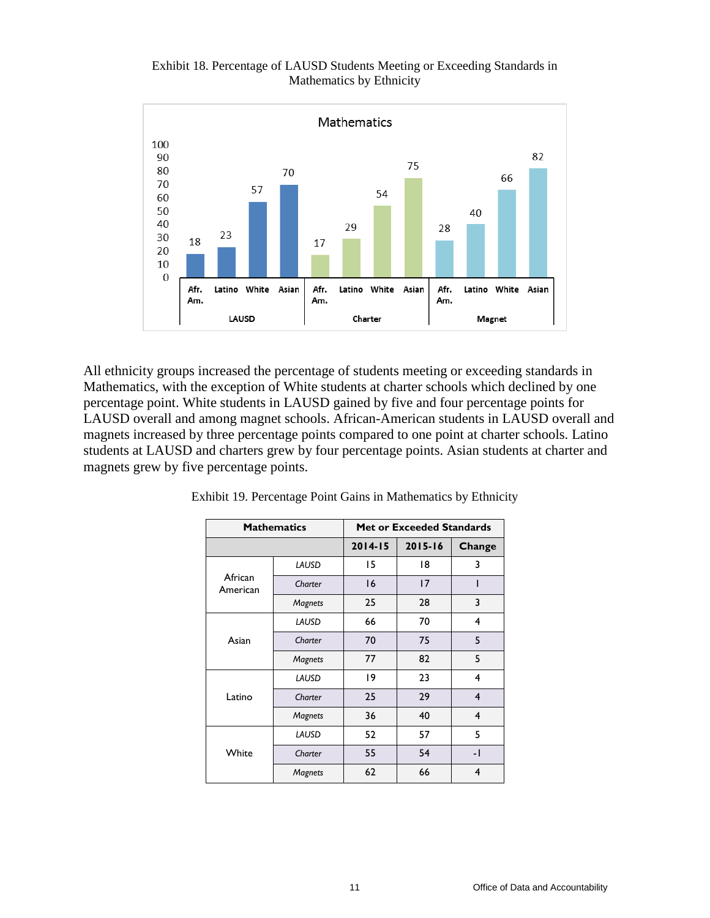

#### Exhibit 18. Percentage of LAUSD Students Meeting or Exceeding Standards in Mathematics by Ethnicity

All ethnicity groups increased the percentage of students meeting or exceeding standards in Mathematics, with the exception of White students at charter schools which declined by one percentage point. White students in LAUSD gained by five and four percentage points for LAUSD overall and among magnet schools. African-American students in LAUSD overall and magnets increased by three percentage points compared to one point at charter schools. Latino students at LAUSD and charters grew by four percentage points. Asian students at charter and magnets grew by five percentage points.

| <b>Mathematics</b>  |                | <b>Met or Exceeded Standards</b> |             |                         |  |
|---------------------|----------------|----------------------------------|-------------|-------------------------|--|
|                     |                | $2014 - 15$                      | $2015 - 16$ | Change                  |  |
|                     | LAUSD          | 15                               | 18          | 3                       |  |
| African<br>American | Charter        | 16                               | 17          |                         |  |
|                     | Magnets        | 25                               | 28          | 3                       |  |
|                     | LAUSD          | 66                               | 70          | 4                       |  |
| Asian               | Charter        | 70                               | 75          | 5                       |  |
|                     | Magnets        | 77                               | 82          | 5                       |  |
|                     | LAUSD          | 19                               | 23          | 4                       |  |
| Latino              | Charter        | 25                               | 29          | $\overline{\mathbf{4}}$ |  |
|                     | Magnets        | 36                               | 40          | 4                       |  |
| White               | LAUSD          | 52                               | 57          | 5                       |  |
|                     | Charter        | 55                               | 54          | - 1                     |  |
|                     | <b>Magnets</b> | 62                               | 66          | 4                       |  |

Exhibit 19. Percentage Point Gains in Mathematics by Ethnicity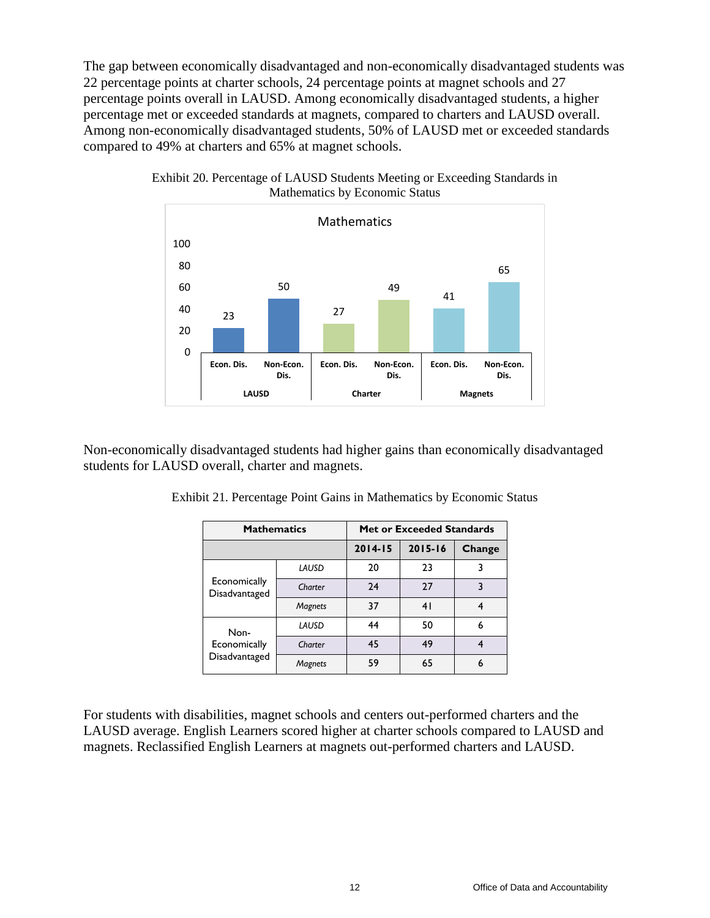The gap between economically disadvantaged and non-economically disadvantaged students was 22 percentage points at charter schools, 24 percentage points at magnet schools and 27 percentage points overall in LAUSD. Among economically disadvantaged students, a higher percentage met or exceeded standards at magnets, compared to charters and LAUSD overall. Among non-economically disadvantaged students, 50% of LAUSD met or exceeded standards compared to 49% at charters and 65% at magnet schools.



Exhibit 20. Percentage of LAUSD Students Meeting or Exceeding Standards in Mathematics by Economic Status

Non-economically disadvantaged students had higher gains than economically disadvantaged students for LAUSD overall, charter and magnets.

| <b>Mathematics</b>                    |                | <b>Met or Exceeded Standards</b> |             |        |
|---------------------------------------|----------------|----------------------------------|-------------|--------|
|                                       |                | $2014 - 15$                      | $2015 - 16$ | Change |
| Economically<br>Disadvantaged         | LAUSD          | 20                               | 23          |        |
|                                       | Charter        | 24                               | 27          |        |
|                                       | <b>Magnets</b> | 37                               | 41          |        |
| Non-<br>Economically<br>Disadvantaged | LAUSD          | 44                               | 50          | 6      |
|                                       | Charter        | 45                               | 49          |        |
|                                       | Magnets        | 59                               | 65          |        |

Exhibit 21. Percentage Point Gains in Mathematics by Economic Status

For students with disabilities, magnet schools and centers out-performed charters and the LAUSD average. English Learners scored higher at charter schools compared to LAUSD and magnets. Reclassified English Learners at magnets out-performed charters and LAUSD.